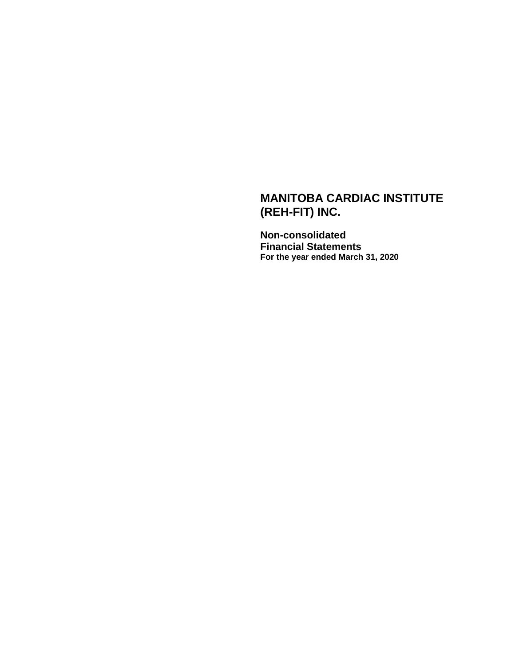### **MANITOBA CARDIAC INSTITUTE (REH-FIT) INC.**

**Non-consolidated Financial Statements For the year ended March 31, 2020**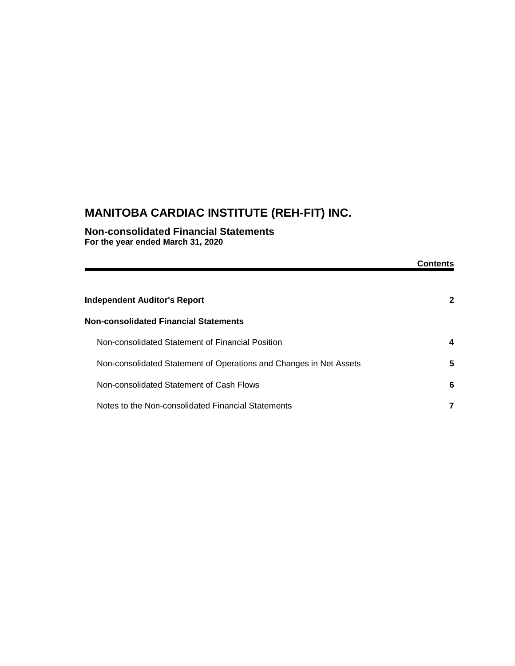# **MANITOBA CARDIAC INSTITUTE (REH-FIT) INC.**

**Non-consolidated Financial Statements For the year ended March 31, 2020**

|                                                                    | Contents     |
|--------------------------------------------------------------------|--------------|
| <b>Independent Auditor's Report</b>                                | $\mathbf{2}$ |
| <b>Non-consolidated Financial Statements</b>                       |              |
| Non-consolidated Statement of Financial Position                   | 4            |
| Non-consolidated Statement of Operations and Changes in Net Assets | 5            |
| Non-consolidated Statement of Cash Flows                           | 6            |
| Notes to the Non-consolidated Financial Statements                 |              |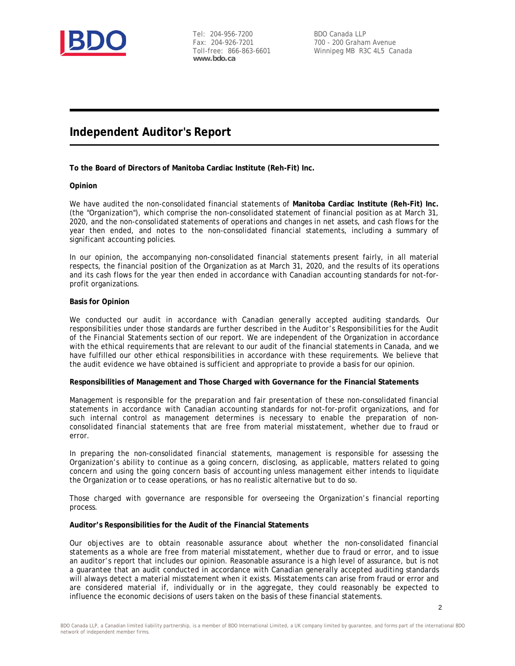

Tel: 204-956-7200 Fax: 204-926-7201 Toll-free: 866-863-6601 **www.bdo.ca**

BDO Canada LLP 700 - 200 Graham Avenue Winnipeg MB R3C 4L5 Canada

### **Independent Auditor's Report**

**To the Board of Directors of Manitoba Cardiac Institute (Reh-Fit) Inc.**

#### **Opinion**

We have audited the non-consolidated financial statements of **Manitoba Cardiac Institute (Reh-Fit) Inc.** (the "Organization"), which comprise the non-consolidated statement of financial position as at March 31, 2020, and the non-consolidated statements of operations and changes in net assets, and cash flows for the year then ended, and notes to the non-consolidated financial statements, including a summary of significant accounting policies.

In our opinion, the accompanying non-consolidated financial statements present fairly, in all material respects, the financial position of the Organization as at March 31, 2020, and the results of its operations and its cash flows for the year then ended in accordance with Canadian accounting standards for not-forprofit organizations.

#### **Basis for Opinion**

We conducted our audit in accordance with Canadian generally accepted auditing standards. Our responsibilities under those standards are further described in the *Auditor's Responsibilities for the Audit of the Financial Statements* section of our report. We are independent of the Organization in accordance with the ethical requirements that are relevant to our audit of the financial statements in Canada, and we have fulfilled our other ethical responsibilities in accordance with these requirements. We believe that the audit evidence we have obtained is sufficient and appropriate to provide a basis for our opinion.

**Responsibilities of Management and Those Charged with Governance for the Financial Statements**

Management is responsible for the preparation and fair presentation of these non-consolidated financial statements in accordance with Canadian accounting standards for not-for-profit organizations, and for such internal control as management determines is necessary to enable the preparation of nonconsolidated financial statements that are free from material misstatement, whether due to fraud or error.

In preparing the non-consolidated financial statements, management is responsible for assessing the Organization's ability to continue as a going concern, disclosing, as applicable, matters related to going concern and using the going concern basis of accounting unless management either intends to liquidate the Organization or to cease operations, or has no realistic alternative but to do so.

Those charged with governance are responsible for overseeing the Organization's financial reporting process.

**Auditor's Responsibilities for the Audit of the Financial Statements**

Our objectives are to obtain reasonable assurance about whether the non-consolidated financial statements as a whole are free from material misstatement, whether due to fraud or error, and to issue an auditor's report that includes our opinion. Reasonable assurance is a high level of assurance, but is not a guarantee that an audit conducted in accordance with Canadian generally accepted auditing standards will always detect a material misstatement when it exists. Misstatements can arise from fraud or error and are considered material if, individually or in the aggregate, they could reasonably be expected to influence the economic decisions of users taken on the basis of these financial statements.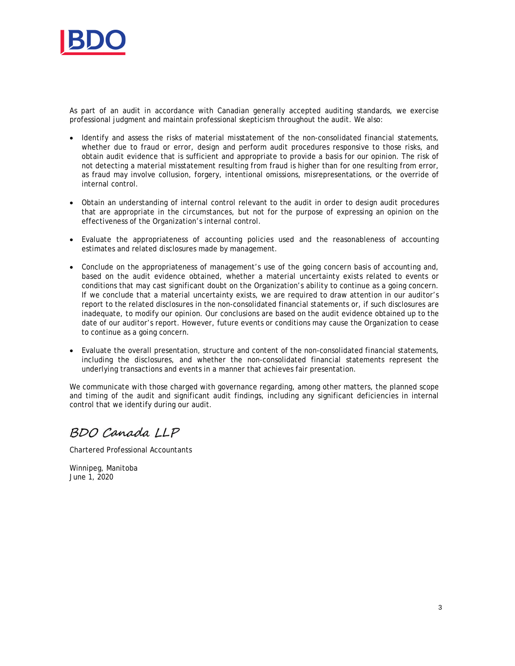

As part of an audit in accordance with Canadian generally accepted auditing standards, we exercise professional judgment and maintain professional skepticism throughout the audit. We also:

- · Identify and assess the risks of material misstatement of the non-consolidated financial statements, whether due to fraud or error, design and perform audit procedures responsive to those risks, and obtain audit evidence that is sufficient and appropriate to provide a basis for our opinion. The risk of not detecting a material misstatement resulting from fraud is higher than for one resulting from error, as fraud may involve collusion, forgery, intentional omissions, misrepresentations, or the override of internal control.
- · Obtain an understanding of internal control relevant to the audit in order to design audit procedures that are appropriate in the circumstances, but not for the purpose of expressing an opinion on the effectiveness of the Organization's internal control.
- · Evaluate the appropriateness of accounting policies used and the reasonableness of accounting estimates and related disclosures made by management.
- · Conclude on the appropriateness of management's use of the going concern basis of accounting and, based on the audit evidence obtained, whether a material uncertainty exists related to events or conditions that may cast significant doubt on the Organization's ability to continue as a going concern. If we conclude that a material uncertainty exists, we are required to draw attention in our auditor's report to the related disclosures in the non-consolidated financial statements or, if such disclosures are inadequate, to modify our opinion. Our conclusions are based on the audit evidence obtained up to the date of our auditor's report. However, future events or conditions may cause the Organization to cease to continue as a going concern.
- · Evaluate the overall presentation, structure and content of the non-consolidated financial statements, including the disclosures, and whether the non-consolidated financial statements represent the underlying transactions and events in a manner that achieves fair presentation.

We communicate with those charged with governance regarding, among other matters, the planned scope and timing of the audit and significant audit findings, including any significant deficiencies in internal control that we identify during our audit.

BDO Canada LLP

Chartered Professional Accountants

Winnipeg, Manitoba June 1, 2020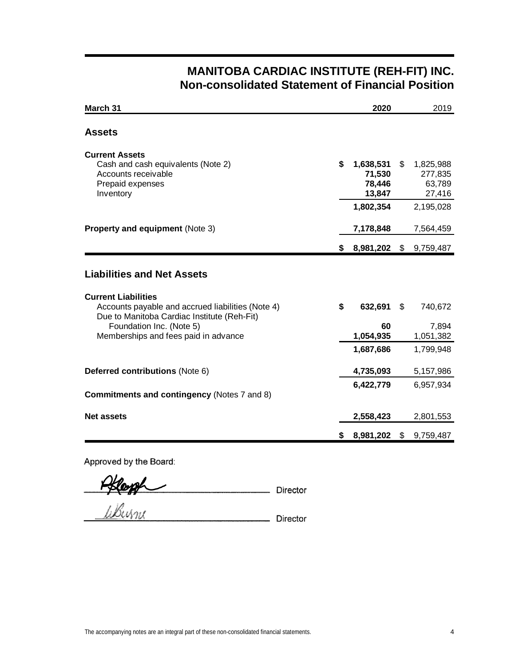## **MANITOBA CARDIAC INSTITUTE (REH-FIT) INC. Non-consolidated Statement of Financial Position**

| March 31                                                                                                                                                             | 2020                                                       |                | 2019                                                  |
|----------------------------------------------------------------------------------------------------------------------------------------------------------------------|------------------------------------------------------------|----------------|-------------------------------------------------------|
| <b>Assets</b>                                                                                                                                                        |                                                            |                |                                                       |
| <b>Current Assets</b><br>Cash and cash equivalents (Note 2)<br>Accounts receivable<br>Prepaid expenses<br>Inventory                                                  | \$<br>1,638,531<br>71,530<br>78,446<br>13,847<br>1,802,354 | \$             | 1,825,988<br>277,835<br>63,789<br>27,416<br>2,195,028 |
| <b>Property and equipment (Note 3)</b>                                                                                                                               | 7,178,848                                                  |                | 7,564,459                                             |
|                                                                                                                                                                      | 8,981,202                                                  | \$             | 9,759,487                                             |
| <b>Liabilities and Net Assets</b><br><b>Current Liabilities</b>                                                                                                      |                                                            |                |                                                       |
| Accounts payable and accrued liabilities (Note 4)<br>Due to Manitoba Cardiac Institute (Reh-Fit)<br>Foundation Inc. (Note 5)<br>Memberships and fees paid in advance | \$<br>632,691<br>60<br>1,054,935                           | $\mathfrak{S}$ | 740,672<br>7,894<br>1,051,382                         |
|                                                                                                                                                                      | 1,687,686                                                  |                | 1,799,948                                             |
| Deferred contributions (Note 6)                                                                                                                                      | 4,735,093<br>6,422,779                                     |                | 5,157,986<br>6,957,934                                |
| <b>Commitments and contingency (Notes 7 and 8)</b>                                                                                                                   |                                                            |                |                                                       |
| <b>Net assets</b>                                                                                                                                                    | 2,558,423                                                  |                | 2,801,553                                             |
|                                                                                                                                                                      | 8,981,202 \$                                               |                | 9,759,487                                             |

Approved by the Board:

Directo

Directo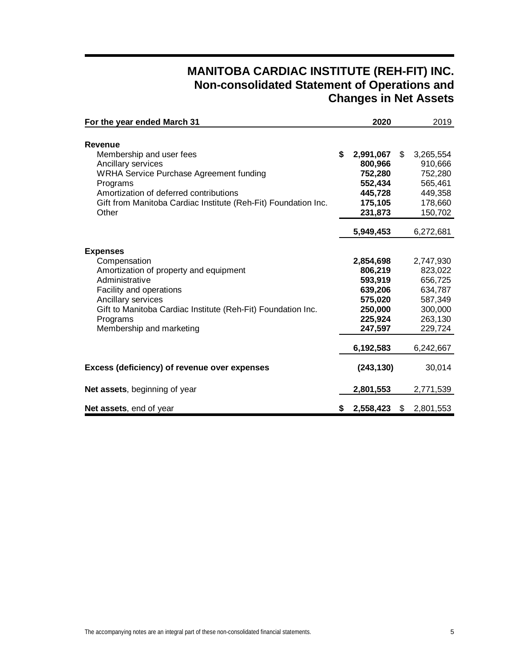### **MANITOBA CARDIAC INSTITUTE (REH-FIT) INC. Non-consolidated Statement of Operations and Changes in Net Assets**

| For the year ended March 31                                    | 2020            | 2019            |
|----------------------------------------------------------------|-----------------|-----------------|
|                                                                |                 |                 |
| <b>Revenue</b><br>Membership and user fees                     | \$<br>2,991,067 | \$<br>3,265,554 |
| Ancillary services                                             | 800,966         | 910,666         |
| <b>WRHA Service Purchase Agreement funding</b>                 | 752,280         | 752,280         |
| Programs                                                       | 552,434         | 565,461         |
| Amortization of deferred contributions                         | 445,728         | 449,358         |
| Gift from Manitoba Cardiac Institute (Reh-Fit) Foundation Inc. | 175,105         | 178,660         |
| Other                                                          | 231,873         | 150,702         |
|                                                                |                 |                 |
|                                                                | 5,949,453       | 6,272,681       |
| <b>Expenses</b>                                                |                 |                 |
| Compensation                                                   | 2,854,698       | 2,747,930       |
| Amortization of property and equipment                         | 806,219         | 823,022         |
| Administrative                                                 | 593,919         | 656,725         |
| Facility and operations                                        | 639,206         | 634,787         |
| Ancillary services                                             | 575,020         | 587,349         |
| Gift to Manitoba Cardiac Institute (Reh-Fit) Foundation Inc.   | 250,000         | 300,000         |
| Programs                                                       | 225,924         | 263,130         |
| Membership and marketing                                       | 247.597         | 229,724         |
|                                                                | 6,192,583       | 6,242,667       |
| Excess (deficiency) of revenue over expenses                   | (243, 130)      | 30,014          |
| Net assets, beginning of year                                  | 2,801,553       | 2,771,539       |
| Net assets, end of year                                        | \$<br>2,558,423 | \$<br>2,801,553 |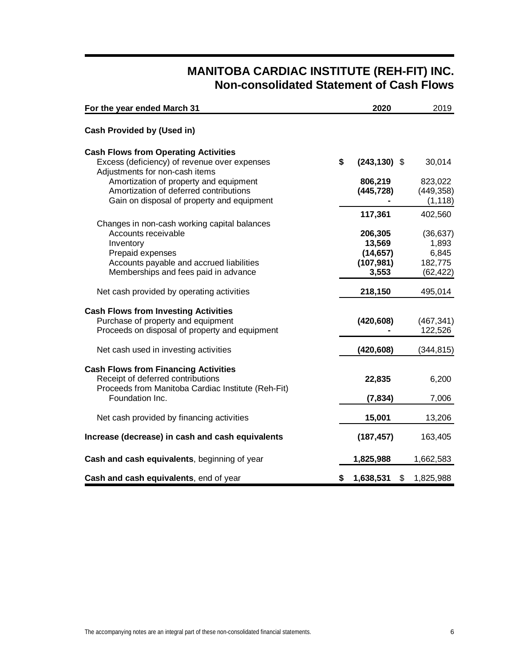## **MANITOBA CARDIAC INSTITUTE (REH-FIT) INC. Non-consolidated Statement of Cash Flows**

| For the year ended March 31                                                                                                                                                              | 2020                                                             | 2019                                                           |
|------------------------------------------------------------------------------------------------------------------------------------------------------------------------------------------|------------------------------------------------------------------|----------------------------------------------------------------|
| <b>Cash Provided by (Used in)</b>                                                                                                                                                        |                                                                  |                                                                |
| <b>Cash Flows from Operating Activities</b><br>Excess (deficiency) of revenue over expenses                                                                                              | \$<br>$(243, 130)$ \$                                            | 30,014                                                         |
| Adjustments for non-cash items<br>Amortization of property and equipment<br>Amortization of deferred contributions<br>Gain on disposal of property and equipment                         | 806,219<br>(445, 728)                                            | 823,022<br>(449, 358)<br>(1, 118)                              |
| Changes in non-cash working capital balances<br>Accounts receivable<br>Inventory<br>Prepaid expenses<br>Accounts payable and accrued liabilities<br>Memberships and fees paid in advance | 117,361<br>206,305<br>13,569<br>(14, 657)<br>(107, 981)<br>3,553 | 402,560<br>(36, 637)<br>1,893<br>6,845<br>182,775<br>(62, 422) |
| Net cash provided by operating activities                                                                                                                                                | 218,150                                                          | 495,014                                                        |
| <b>Cash Flows from Investing Activities</b><br>Purchase of property and equipment<br>Proceeds on disposal of property and equipment                                                      | (420, 608)                                                       | (467, 341)<br>122,526                                          |
| Net cash used in investing activities                                                                                                                                                    | (420, 608)                                                       | (344, 815)                                                     |
| <b>Cash Flows from Financing Activities</b><br>Receipt of deferred contributions<br>Proceeds from Manitoba Cardiac Institute (Reh-Fit)                                                   | 22,835                                                           | 6,200                                                          |
| Foundation Inc.<br>Net cash provided by financing activities                                                                                                                             | (7, 834)<br>15,001                                               | 7,006<br>13,206                                                |
| Increase (decrease) in cash and cash equivalents                                                                                                                                         | (187, 457)                                                       | 163,405                                                        |
| Cash and cash equivalents, beginning of year                                                                                                                                             | 1,825,988                                                        | 1,662,583                                                      |
| Cash and cash equivalents, end of year                                                                                                                                                   | \$<br>\$<br>1,638,531                                            | 1,825,988                                                      |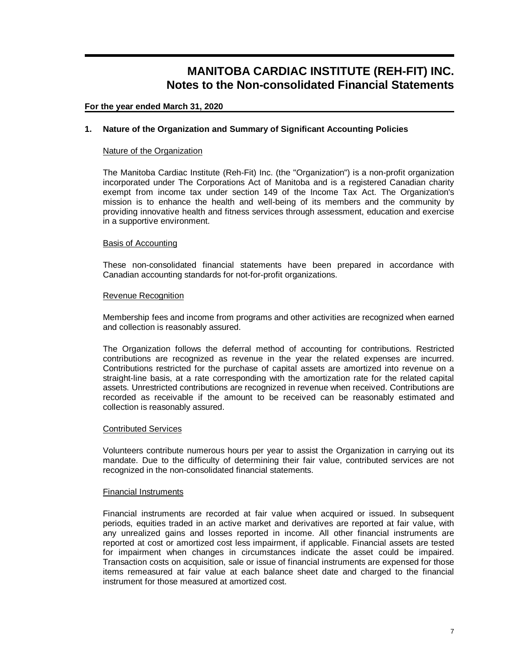#### **For the year ended March 31, 2020**

### **1. Nature of the Organization and Summary of Significant Accounting Policies**

#### Nature of the Organization

The Manitoba Cardiac Institute (Reh-Fit) Inc. (the "Organization") is a non-profit organization incorporated under The Corporations Act of Manitoba and is a registered Canadian charity exempt from income tax under section 149 of the Income Tax Act. The Organization's mission is to enhance the health and well-being of its members and the community by providing innovative health and fitness services through assessment, education and exercise in a supportive environment.

#### Basis of Accounting

These non-consolidated financial statements have been prepared in accordance with Canadian accounting standards for not-for-profit organizations.

#### Revenue Recognition

Membership fees and income from programs and other activities are recognized when earned and collection is reasonably assured.

The Organization follows the deferral method of accounting for contributions. Restricted contributions are recognized as revenue in the year the related expenses are incurred. Contributions restricted for the purchase of capital assets are amortized into revenue on a straight-line basis, at a rate corresponding with the amortization rate for the related capital assets. Unrestricted contributions are recognized in revenue when received. Contributions are recorded as receivable if the amount to be received can be reasonably estimated and collection is reasonably assured.

#### Contributed Services

Volunteers contribute numerous hours per year to assist the Organization in carrying out its mandate. Due to the difficulty of determining their fair value, contributed services are not recognized in the non-consolidated financial statements.

#### Financial Instruments

Financial instruments are recorded at fair value when acquired or issued. In subsequent periods, equities traded in an active market and derivatives are reported at fair value, with any unrealized gains and losses reported in income. All other financial instruments are reported at cost or amortized cost less impairment, if applicable. Financial assets are tested for impairment when changes in circumstances indicate the asset could be impaired. Transaction costs on acquisition, sale or issue of financial instruments are expensed for those items remeasured at fair value at each balance sheet date and charged to the financial instrument for those measured at amortized cost.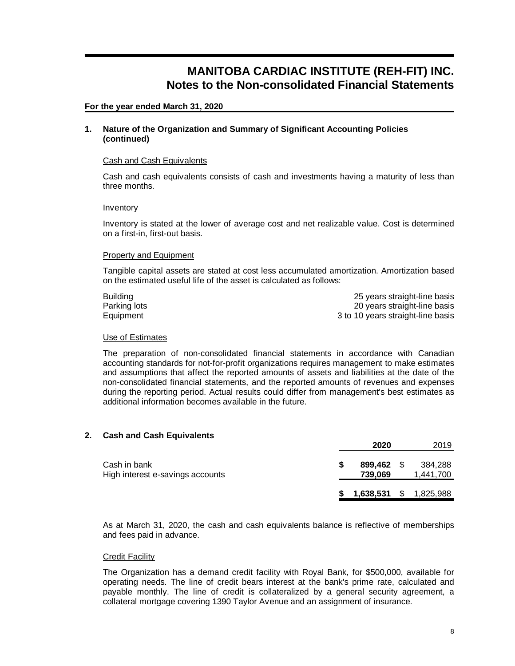#### **For the year ended March 31, 2020**

#### **1. Nature of the Organization and Summary of Significant Accounting Policies (continued)**

#### Cash and Cash Equivalents

Cash and cash equivalents consists of cash and investments having a maturity of less than three months.

#### Inventory

Inventory is stated at the lower of average cost and net realizable value. Cost is determined on a first-in, first-out basis.

#### Property and Equipment

Tangible capital assets are stated at cost less accumulated amortization. Amortization based on the estimated useful life of the asset is calculated as follows:

| <b>Building</b> |
|-----------------|
| Parking lots    |
| Eauipment       |

25 years straight-line basis 20 years straight-line basis quipment **Equipment** 2 and 3 to 10 years straight-line basis

#### Use of Estimates

The preparation of non-consolidated financial statements in accordance with Canadian accounting standards for not-for-profit organizations requires management to make estimates and assumptions that affect the reported amounts of assets and liabilities at the date of the non-consolidated financial statements, and the reported amounts of revenues and expenses during the reporting period. Actual results could differ from management's best estimates as additional information becomes available in the future.

#### **2. Cash and Cash Equivalents**

|                                                  |   | 2020                  |              | 2019                 |
|--------------------------------------------------|---|-----------------------|--------------|----------------------|
| Cash in bank<br>High interest e-savings accounts | S | 899.462 \$<br>739.069 |              | 384,288<br>1,441,700 |
|                                                  |   | 1,638,531             | $\mathbb{S}$ | 1,825,988            |

As at March 31, 2020, the cash and cash equivalents balance is reflective of memberships and fees paid in advance.

#### Credit Facility

The Organization has a demand credit facility with Royal Bank, for \$500,000, available for operating needs. The line of credit bears interest at the bank's prime rate, calculated and payable monthly. The line of credit is collateralized by a general security agreement, a collateral mortgage covering 1390 Taylor Avenue and an assignment of insurance.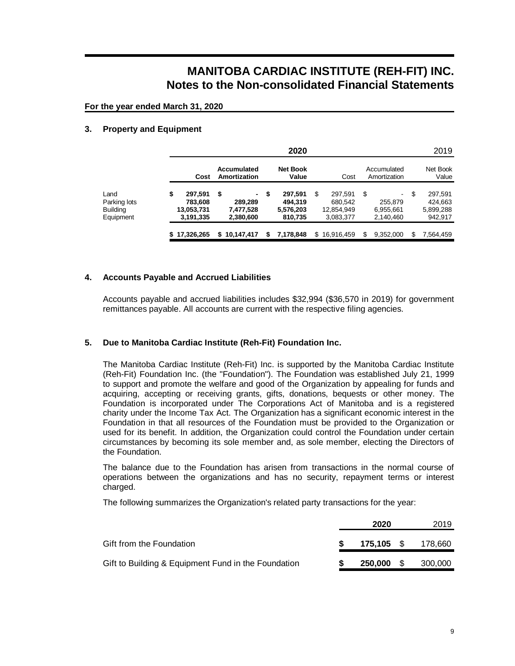**For the year ended March 31, 2020**

#### **3. Property and Equipment**

|                                                      |                                                     |                                                           |    | 2020                                       |     |                                               |                                              | 2019                                             |
|------------------------------------------------------|-----------------------------------------------------|-----------------------------------------------------------|----|--------------------------------------------|-----|-----------------------------------------------|----------------------------------------------|--------------------------------------------------|
|                                                      | Cost                                                | Accumulated<br>Amortization                               |    | <b>Net Book</b><br>Value                   |     | Cost                                          | Accumulated<br>Amortization                  | Net Book<br>Value                                |
| Land<br>Parking lots<br><b>Building</b><br>Equipment | \$<br>297,591<br>783,608<br>13,053,731<br>3,191,335 | \$<br>$\blacksquare$<br>289.289<br>7,477,528<br>2,380,600 | \$ | 297.591<br>494.319<br>5,576,203<br>810,735 | \$  | 297.591<br>680,542<br>12,854,949<br>3,083,377 | \$<br>-<br>255,879<br>6,955,661<br>2,140,460 | \$<br>297,591<br>424,663<br>5,899,288<br>942,917 |
|                                                      | \$17,326,265                                        | \$10.147.417                                              | S  | 7.178.848                                  | \$. | 16.916.459                                    | \$<br>9.352.000                              | \$<br>7.564.459                                  |

#### **4. Accounts Payable and Accrued Liabilities**

Accounts payable and accrued liabilities includes \$32,994 (\$36,570 in 2019) for government remittances payable. All accounts are current with the respective filing agencies.

### **5. Due to Manitoba Cardiac Institute (Reh-Fit) Foundation Inc.**

The Manitoba Cardiac Institute (Reh-Fit) Inc. is supported by the Manitoba Cardiac Institute (Reh-Fit) Foundation Inc. (the "Foundation"). The Foundation was established July 21, 1999 to support and promote the welfare and good of the Organization by appealing for funds and acquiring, accepting or receiving grants, gifts, donations, bequests or other money. The Foundation is incorporated under The Corporations Act of Manitoba and is a registered charity under the Income Tax Act. The Organization has a significant economic interest in the Foundation in that all resources of the Foundation must be provided to the Organization or used for its benefit. In addition, the Organization could control the Foundation under certain circumstances by becoming its sole member and, as sole member, electing the Directors of the Foundation.

The balance due to the Foundation has arisen from transactions in the normal course of operations between the organizations and has no security, repayment terms or interest charged.

The following summarizes the Organization's related party transactions for the year:

|                                                     | 2020         |      | 2019    |
|-----------------------------------------------------|--------------|------|---------|
| Gift from the Foundation                            | $175,105$ \$ |      | 178.660 |
| Gift to Building & Equipment Fund in the Foundation | 250,000      | - \$ | 300.000 |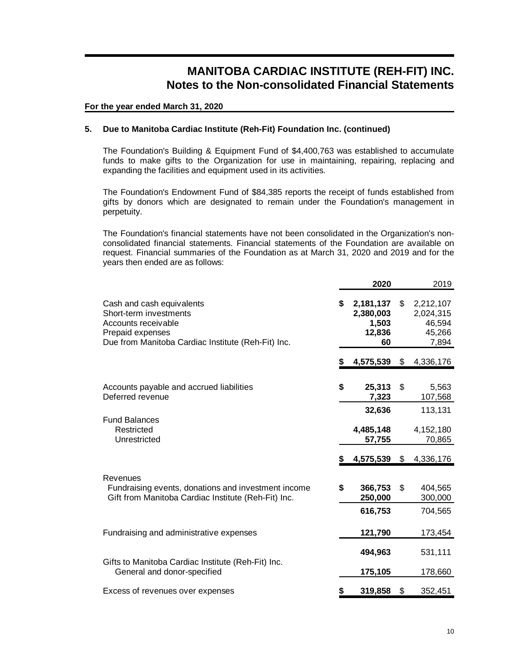**For the year ended March 31, 2020**

### **5. Due to Manitoba Cardiac Institute (Reh-Fit) Foundation Inc. (continued)**

The Foundation's Building & Equipment Fund of \$4,400,763 was established to accumulate funds to make gifts to the Organization for use in maintaining, repairing, replacing and expanding the facilities and equipment used in its activities.

The Foundation's Endowment Fund of \$84,385 reports the receipt of funds established from gifts by donors which are designated to remain under the Foundation's management in perpetuity.

The Foundation's financial statements have not been consolidated in the Organization's nonconsolidated financial statements. Financial statements of the Foundation are available on request. Financial summaries of the Foundation as at March 31, 2020 and 2019 and for the years then ended are as follows:

|                                                                                                                                                      | 2020                                                  | 2019                                                      |
|------------------------------------------------------------------------------------------------------------------------------------------------------|-------------------------------------------------------|-----------------------------------------------------------|
| Cash and cash equivalents<br>Short-term investments<br>Accounts receivable<br>Prepaid expenses<br>Due from Manitoba Cardiac Institute (Reh-Fit) Inc. | \$<br>2,181,137<br>2,380,003<br>1,503<br>12,836<br>60 | \$<br>2,212,107<br>2,024,315<br>46,594<br>45,266<br>7,894 |
|                                                                                                                                                      | 4,575,539                                             | \$<br>4,336,176                                           |
| Accounts payable and accrued liabilities                                                                                                             | \$<br>25,313                                          | \$<br>5,563                                               |
| Deferred revenue                                                                                                                                     | 7,323                                                 | 107,568                                                   |
|                                                                                                                                                      | 32,636                                                | 113,131                                                   |
| <b>Fund Balances</b><br>Restricted<br>Unrestricted                                                                                                   | 4,485,148<br>57,755                                   | 4,152,180<br>70,865                                       |
|                                                                                                                                                      | 4,575,539                                             | \$<br>4,336,176                                           |
| Revenues<br>Fundraising events, donations and investment income<br>Gift from Manitoba Cardiac Institute (Reh-Fit) Inc.                               | \$<br>366,753<br>250,000                              | \$<br>404,565<br>300,000                                  |
|                                                                                                                                                      | 616,753                                               | 704,565                                                   |
| Fundraising and administrative expenses                                                                                                              | 121,790                                               | 173,454                                                   |
| Gifts to Manitoba Cardiac Institute (Reh-Fit) Inc.                                                                                                   | 494,963                                               | 531,111                                                   |
| General and donor-specified                                                                                                                          | 175,105                                               | 178,660                                                   |
| Excess of revenues over expenses                                                                                                                     | 319,858                                               | \$<br>352,451                                             |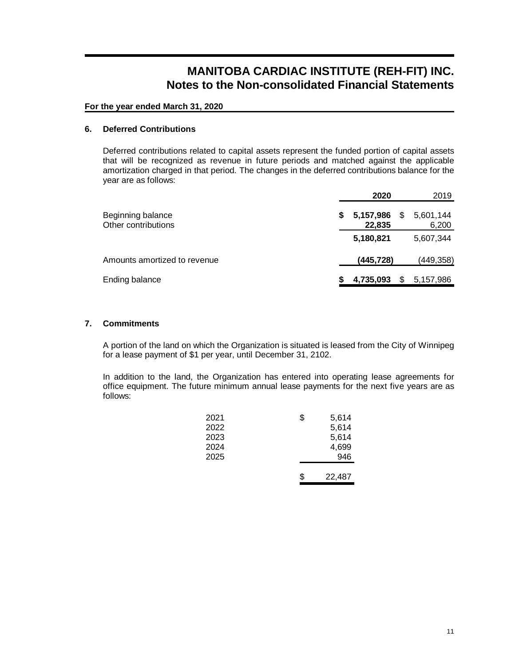#### **For the year ended March 31, 2020**

### **6. Deferred Contributions**

Deferred contributions related to capital assets represent the funded portion of capital assets that will be recognized as revenue in future periods and matched against the applicable amortization charged in that period. The changes in the deferred contributions balance for the year are as follows:

|                                          |   | 2020                | 2019                     |
|------------------------------------------|---|---------------------|--------------------------|
| Beginning balance<br>Other contributions | S | 5,157,986<br>22,835 | \$<br>5,601,144<br>6,200 |
|                                          |   | 5,180,821           | 5,607,344                |
| Amounts amortized to revenue             |   | (445, 728)          | (449,358)                |
| Ending balance                           |   | 4,735,093           | \$<br>5,157,986          |

#### **7. Commitments**

A portion of the land on which the Organization is situated is leased from the City of Winnipeg for a lease payment of \$1 per year, until December 31, 2102.

In addition to the land, the Organization has entered into operating lease agreements for office equipment. The future minimum annual lease payments for the next five years are as follows:

| 2021 | \$<br>5,614 |
|------|-------------|
| 2022 | 5,614       |
| 2023 | 5,614       |
| 2024 | 4,699       |
| 2025 | 946         |
|      |             |

\$ 22,487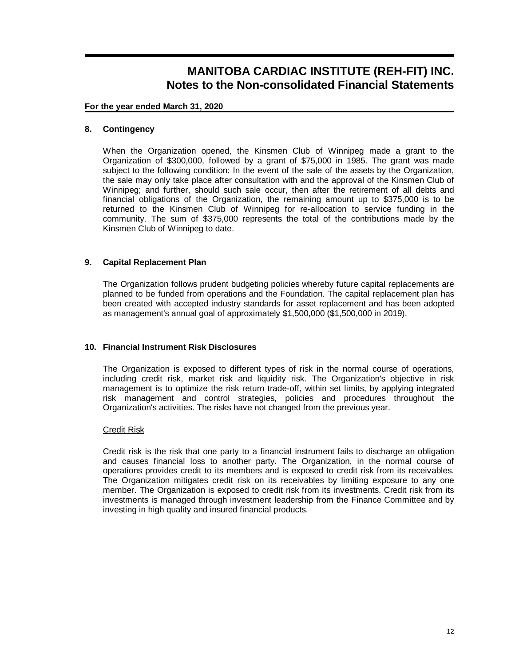#### **For the year ended March 31, 2020**

#### **8. Contingency**

When the Organization opened, the Kinsmen Club of Winnipeg made a grant to the Organization of \$300,000, followed by a grant of \$75,000 in 1985. The grant was made subject to the following condition: In the event of the sale of the assets by the Organization, the sale may only take place after consultation with and the approval of the Kinsmen Club of Winnipeg; and further, should such sale occur, then after the retirement of all debts and financial obligations of the Organization, the remaining amount up to \$375,000 is to be returned to the Kinsmen Club of Winnipeg for re-allocation to service funding in the community. The sum of \$375,000 represents the total of the contributions made by the Kinsmen Club of Winnipeg to date.

#### **9. Capital Replacement Plan**

The Organization follows prudent budgeting policies whereby future capital replacements are planned to be funded from operations and the Foundation. The capital replacement plan has been created with accepted industry standards for asset replacement and has been adopted as management's annual goal of approximately \$1,500,000 (\$1,500,000 in 2019).

#### **10. Financial Instrument Risk Disclosures**

The Organization is exposed to different types of risk in the normal course of operations, including credit risk, market risk and liquidity risk. The Organization's objective in risk management is to optimize the risk return trade-off, within set limits, by applying integrated risk management and control strategies, policies and procedures throughout the Organization's activities. The risks have not changed from the previous year.

#### Credit Risk

Credit risk is the risk that one party to a financial instrument fails to discharge an obligation and causes financial loss to another party. The Organization, in the normal course of operations provides credit to its members and is exposed to credit risk from its receivables. The Organization mitigates credit risk on its receivables by limiting exposure to any one member. The Organization is exposed to credit risk from its investments. Credit risk from its investments is managed through investment leadership from the Finance Committee and by investing in high quality and insured financial products.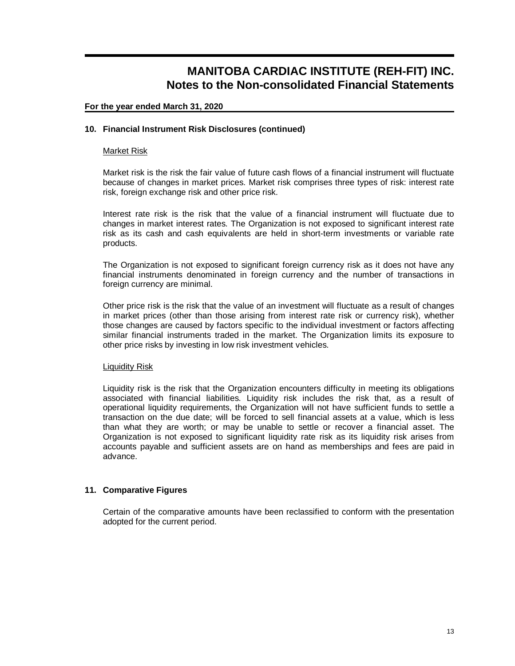#### **For the year ended March 31, 2020**

#### **10. Financial Instrument Risk Disclosures (continued)**

#### Market Risk

Market risk is the risk the fair value of future cash flows of a financial instrument will fluctuate because of changes in market prices. Market risk comprises three types of risk: interest rate risk, foreign exchange risk and other price risk.

Interest rate risk is the risk that the value of a financial instrument will fluctuate due to changes in market interest rates. The Organization is not exposed to significant interest rate risk as its cash and cash equivalents are held in short-term investments or variable rate products.

The Organization is not exposed to significant foreign currency risk as it does not have any financial instruments denominated in foreign currency and the number of transactions in foreign currency are minimal.

Other price risk is the risk that the value of an investment will fluctuate as a result of changes in market prices (other than those arising from interest rate risk or currency risk), whether those changes are caused by factors specific to the individual investment or factors affecting similar financial instruments traded in the market. The Organization limits its exposure to other price risks by investing in low risk investment vehicles.

#### Liquidity Risk

Liquidity risk is the risk that the Organization encounters difficulty in meeting its obligations associated with financial liabilities. Liquidity risk includes the risk that, as a result of operational liquidity requirements, the Organization will not have sufficient funds to settle a transaction on the due date; will be forced to sell financial assets at a value, which is less than what they are worth; or may be unable to settle or recover a financial asset. The Organization is not exposed to significant liquidity rate risk as its liquidity risk arises from accounts payable and sufficient assets are on hand as memberships and fees are paid in advance.

#### **11. Comparative Figures**

Certain of the comparative amounts have been reclassified to conform with the presentation adopted for the current period.